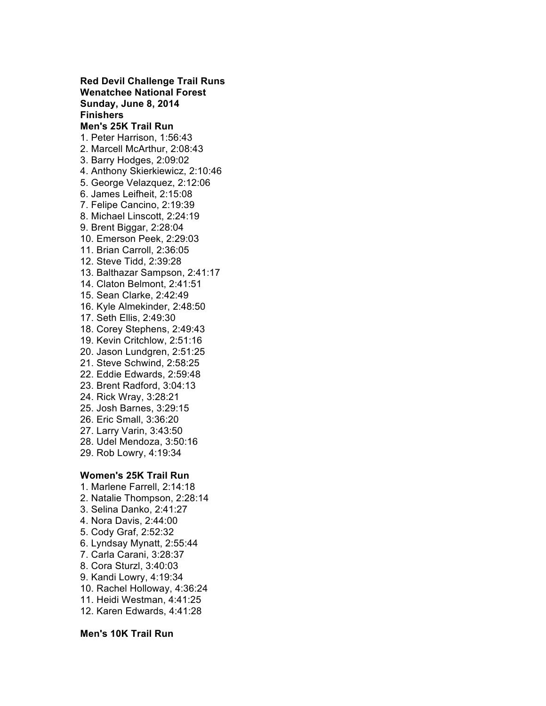**Red Devil Challenge Trail Runs Wenatchee National Forest Sunday, June 8, 2014 Finishers Men's 25K Trail Run** 1. Peter Harrison, 1:56:43 2. Marcell McArthur, 2:08:43 3. Barry Hodges, 2:09:02 4. Anthony Skierkiewicz, 2:10:46 5. George Velazquez, 2:12:06 6. James Leifheit, 2:15:08 7. Felipe Cancino, 2:19:39 8. Michael Linscott, 2:24:19 9. Brent Biggar, 2:28:04 10. Emerson Peek, 2:29:03 11. Brian Carroll, 2:36:05 12. Steve Tidd, 2:39:28 13. Balthazar Sampson, 2:41:17 14. Claton Belmont, 2:41:51 15. Sean Clarke, 2:42:49 16. Kyle Almekinder, 2:48:50 17. Seth Ellis, 2:49:30 18. Corey Stephens, 2:49:43 19. Kevin Critchlow, 2:51:16 20. Jason Lundgren, 2:51:25 21. Steve Schwind, 2:58:25 22. Eddie Edwards, 2:59:48 23. Brent Radford, 3:04:13 24. Rick Wray, 3:28:21 25. Josh Barnes, 3:29:15 26. Eric Small, 3:36:20 27. Larry Varin, 3:43:50 28. Udel Mendoza, 3:50:16 29. Rob Lowry, 4:19:34 **Women's 25K Trail Run** 1. Marlene Farrell, 2:14:18 2. Natalie Thompson, 2:28:14 3. Selina Danko, 2:41:27

- 4. Nora Davis, 2:44:00
- 5. Cody Graf, 2:52:32
- 6. Lyndsay Mynatt, 2:55:44
- 7. Carla Carani, 3:28:37
- 8. Cora Sturzl, 3:40:03
- 9. Kandi Lowry, 4:19:34
- 10. Rachel Holloway, 4:36:24
- 11. Heidi Westman, 4:41:25
- 12. Karen Edwards, 4:41:28
- 

## **Men's 10K Trail Run**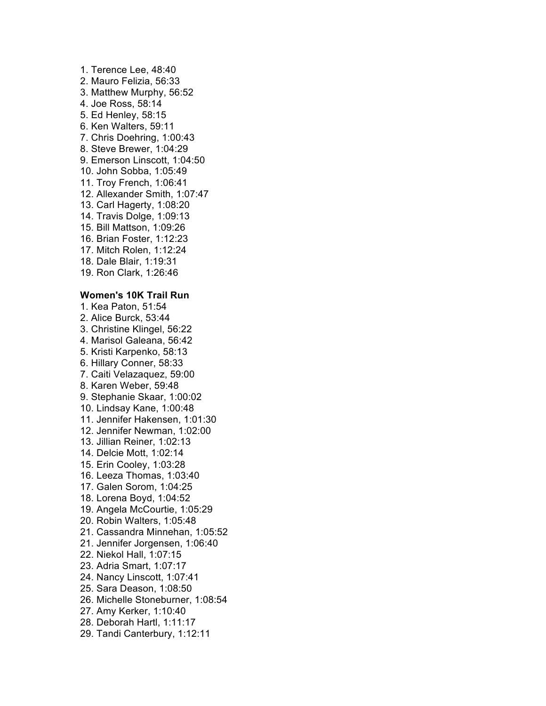1. Terence Lee, 48:40 2. Mauro Felizia, 56:33 3. Matthew Murphy, 56:52 4. Joe Ross, 58:14 5. Ed Henley, 58:15 6. Ken Walters, 59:11 7. Chris Doehring, 1:00:43 8. Steve Brewer, 1:04:29 9. Emerson Linscott, 1:04:50 10. John Sobba, 1:05:49 11. Troy French, 1:06:41 12. Allexander Smith, 1:07:47 13. Carl Hagerty, 1:08:20 14. Travis Dolge, 1:09:13 15. Bill Mattson, 1:09:26 16. Brian Foster, 1:12:23 17. Mitch Rolen, 1:12:24 18. Dale Blair, 1:19:31 19. Ron Clark, 1:26:46 **Women's 10K Trail Run** 1. Kea Paton, 51:54 2. Alice Burck, 53:44 3. Christine Klingel, 56:22 4. Marisol Galeana, 56:42 5. Kristi Karpenko, 58:13 6. Hillary Conner, 58:33 7. Caiti Velazaquez, 59:00 8. Karen Weber, 59:48 9. Stephanie Skaar, 1:00:02 10. Lindsay Kane, 1:00:48 11. Jennifer Hakensen, 1:01:30 12. Jennifer Newman, 1:02:00 13. Jillian Reiner, 1:02:13 14. Delcie Mott, 1:02:14 15. Erin Cooley, 1:03:28 16. Leeza Thomas, 1:03:40 17. Galen Sorom, 1:04:25 18. Lorena Boyd, 1:04:52 19. Angela McCourtie, 1:05:29 20. Robin Walters, 1:05:48 21. Cassandra Minnehan, 1:05:52 21. Jennifer Jorgensen, 1:06:40 22. Niekol Hall, 1:07:15 23. Adria Smart, 1:07:17 24. Nancy Linscott, 1:07:41 25. Sara Deason, 1:08:50 26. Michelle Stoneburner, 1:08:54 27. Amy Kerker, 1:10:40 28. Deborah Hartl, 1:11:17 29. Tandi Canterbury, 1:12:11